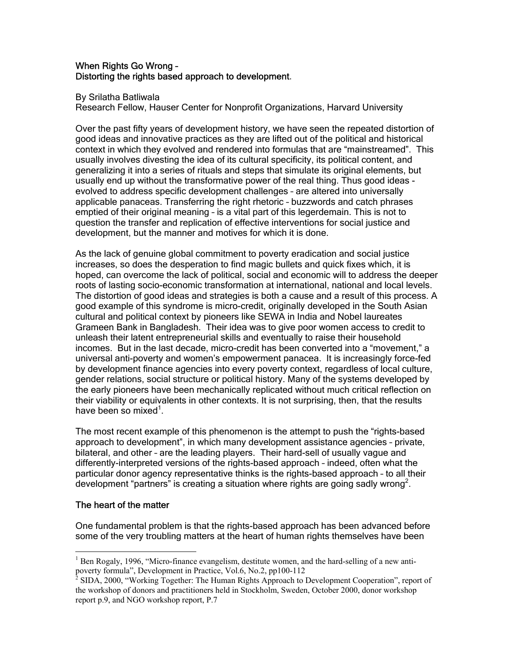### When Rights Go Wrong -Distorting the rights based approach to development.

By Srilatha Batliwala

Research Fellow, Hauser Center for Nonprofit Organizations, Harvard University

Over the past fifty years of development history, we have seen the repeated distortion of good ideas and innovative practices as they are lifted out of the political and historical context in which they evolved and rendered into formulas that are "mainstreamed". This usually involves divesting the idea of its cultural specificity, its political content, and generalizing it into a series of rituals and steps that simulate its original elements, but usually end up without the transformative power of the real thing. Thus good ideas evolved to address specific development challenges – are altered into universally applicable panaceas. Transferring the right rhetoric – buzzwords and catch phrases emptied of their original meaning – is a vital part of this legerdemain. This is not to question the transfer and replication of effective interventions for social justice and development, but the manner and motives for which it is done.

As the lack of genuine global commitment to poverty eradication and social justice increases, so does the desperation to find magic bullets and quick fixes which, it is hoped, can overcome the lack of political, social and economic will to address the deeper roots of lasting socio-economic transformation at international, national and local levels. The distortion of good ideas and strategies is both a cause and a result of this process. A good example of this syndrome is micro-credit, originally developed in the South Asian cultural and political context by pioneers like SEWA in India and Nobel laureates Grameen Bank in Bangladesh. Their idea was to give poor women access to credit to unleash their latent entrepreneurial skills and eventually to raise their household incomes. But in the last decade, micro-credit has been converted into a "movement," a universal anti-poverty and women's empowerment panacea. It is increasingly force-fed by development finance agencies into every poverty context, regardless of local culture, gender relations, social structure or political history. Many of the systems developed by the early pioneers have been mechanically replicated without much critical reflection on their viability or equivalents in other contexts. It is not surprising, then, that the results have been so mixed<sup>1</sup>.

The most recent example of this phenomenon is the attempt to push the "rights-based approach to development", in which many development assistance agencies – private, bilateral, and other – are the leading players. Their hard-sell of usually vague and differently-interpreted versions of the rights-based approach – indeed, often what the particular donor agency representative thinks is the rights-based approach – to all their development "partners" is creating a situation where rights are going sadly wrong<sup>2</sup>.

# The heart of the matter

 $\overline{a}$ 

One fundamental problem is that the rights-based approach has been advanced before some of the very troubling matters at the heart of human rights themselves have been

<sup>&</sup>lt;sup>1</sup> Ben Rogaly, 1996, "Micro-finance evangelism, destitute women, and the hard-selling of a new antipoverty formula", Development in Practice, Vol.6, No.2, pp100-112

<sup>&</sup>lt;sup>2</sup> SIDA, 2000, "Working Together: The Human Rights Approach to Development Cooperation", report of the workshop of donors and practitioners held in Stockholm, Sweden, October 2000, donor workshop report p.9, and NGO workshop report, P.7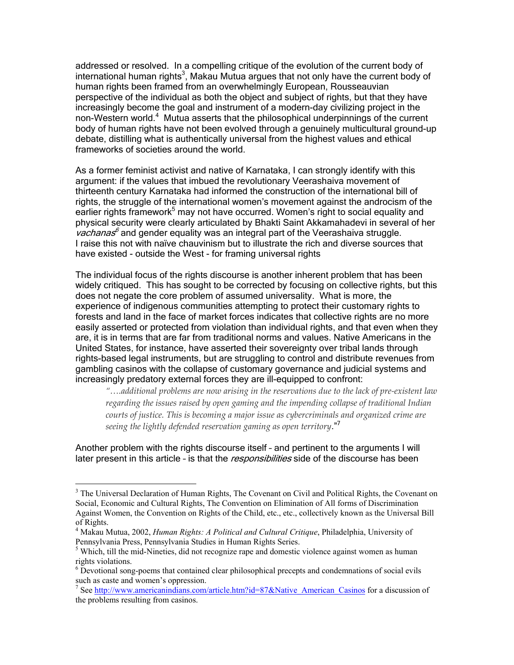addressed or resolved. In a compelling critique of the evolution of the current body of international human rights<sup>3</sup>, Makau Mutua argues that not only have the current body of human rights been framed from an overwhelmingly European, Rousseauvian perspective of the individual as both the object and subject of rights, but that they have increasingly become the goal and instrument of a modern-day civilizing project in the non-Western world.<sup>4</sup> Mutua asserts that the philosophical underpinnings of the current body of human rights have not been evolved through a genuinely multicultural ground-up debate, distilling what is authentically universal from the highest values and ethical frameworks of societies around the world.

As a former feminist activist and native of Karnataka, I can strongly identify with this argument: if the values that imbued the revolutionary Veerashaiva movement of thirteenth century Karnataka had informed the construction of the international bill of rights, the struggle of the international women's movement against the androcism of the earlier rights framework<sup>5</sup> may not have occurred. Women's right to social equality and physical security were clearly articulated by Bhakti Saint Akkamahadevi in several of her *vachanas*<sup>6</sup> and gender equality was an integral part of the Veerashaiva struggle. I raise this not with naïve chauvinism but to illustrate the rich and diverse sources that have existed - outside the West - for framing universal rights

The individual focus of the rights discourse is another inherent problem that has been widely critiqued. This has sought to be corrected by focusing on collective rights, but this does not negate the core problem of assumed universality. What is more, the experience of indigenous communities attempting to protect their customary rights to forests and land in the face of market forces indicates that collective rights are no more easily asserted or protected from violation than individual rights, and that even when they are, it is in terms that are far from traditional norms and values. Native Americans in the United States, for instance, have asserted their sovereignty over tribal lands through rights-based legal instruments, but are struggling to control and distribute revenues from gambling casinos with the collapse of customary governance and judicial systems and increasingly predatory external forces they are ill-equipped to confront:

*"….additional problems are now arising in the reservations due to the lack of pre-existent law regarding the issues raised by open gaming and the impending collapse of traditional Indian courts of justice. This is becoming a major issue as cybercriminals and organized crime are seeing the lightly defended reservation gaming as open territory*."<sup>7</sup>

Another problem with the rights discourse itself – and pertinent to the arguments I will later present in this article - is that the *responsibilities* side of the discourse has been

<sup>&</sup>lt;sup>3</sup> The Universal Declaration of Human Rights, The Covenant on Civil and Political Rights, the Covenant on Social, Economic and Cultural Rights, The Convention on Elimination of All forms of Discrimination Against Women, the Convention on Rights of the Child, etc., etc., collectively known as the Universal Bill of Rights.

<sup>4</sup> Makau Mutua, 2002, *Human Rights: A Political and Cultural Critique*, Philadelphia, University of Pennsylvania Press, Pennsylvania Studies in Human Rights Series.

<sup>&</sup>lt;sup>5</sup> Which, till the mid-Nineties, did not recognize rape and domestic violence against women as human rights violations.

 $6$  Devotional song-poems that contained clear philosophical precepts and condemnations of social evils such as caste and women's oppression.

<sup>&</sup>lt;sup>7</sup> See http://www.americanindians.com/article.htm?id=87&Native\_American\_Casinos for a discussion of the problems resulting from casinos.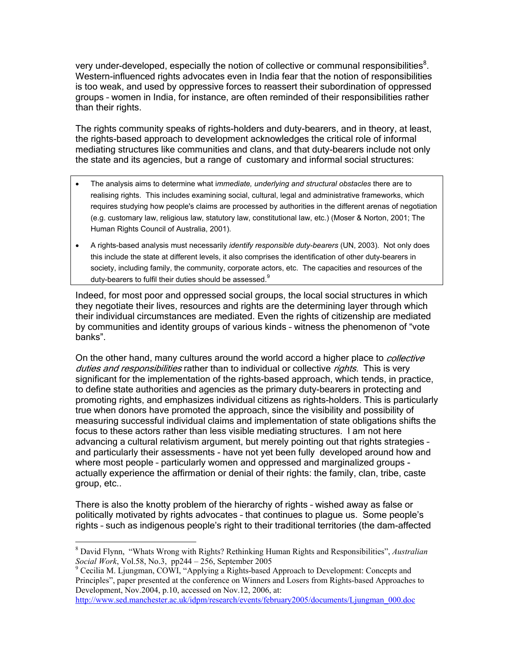very under-developed, especially the notion of collective or communal responsibilities $8$ . Western-influenced rights advocates even in India fear that the notion of responsibilities is too weak, and used by oppressive forces to reassert their subordination of oppressed groups – women in India, for instance, are often reminded of their responsibilities rather than their rights.

The rights community speaks of rights-holders and duty-bearers, and in theory, at least, the rights-based approach to development acknowledges the critical role of informal mediating structures like communities and clans, and that duty-bearers include not only the state and its agencies, but a range of customary and informal social structures:

- The analysis aims to determine what i*mmediate, underlying and structural obstacles* there are to realising rights. This includes examining social, cultural, legal and administrative frameworks, which requires studying how people's claims are processed by authorities in the different arenas of negotiation (e.g. customary law, religious law, statutory law, constitutional law, etc.) (Moser & Norton, 2001; The Human Rights Council of Australia, 2001).
- A rights-based analysis must necessarily *identify responsible duty-bearers* (UN, 2003). Not only does this include the state at different levels, it also comprises the identification of other duty-bearers in society, including family, the community, corporate actors, etc. The capacities and resources of the duty-bearers to fulfil their duties should be assessed.<sup>9</sup>

Indeed, for most poor and oppressed social groups, the local social structures in which they negotiate their lives, resources and rights are the determining layer through which their individual circumstances are mediated. Even the rights of citizenship are mediated by communities and identity groups of various kinds – witness the phenomenon of "vote banks".

On the other hand, many cultures around the world accord a higher place to *collective* duties and responsibilities rather than to individual or collective rights. This is very significant for the implementation of the rights-based approach, which tends, in practice, to define state authorities and agencies as the primary duty-bearers in protecting and promoting rights, and emphasizes individual citizens as rights-holders. This is particularly true when donors have promoted the approach, since the visibility and possibility of measuring successful individual claims and implementation of state obligations shifts the focus to these actors rather than less visible mediating structures. I am not here advancing a cultural relativism argument, but merely pointing out that rights strategies – and particularly their assessments - have not yet been fully developed around how and where most people – particularly women and oppressed and marginalized groups actually experience the affirmation or denial of their rights: the family, clan, tribe, caste group, etc..

There is also the knotty problem of the hierarchy of rights – wished away as false or politically motivated by rights advocates – that continues to plague us. Some people's rights – such as indigenous people's right to their traditional territories (the dam-affected

<sup>8</sup> David Flynn, "Whats Wrong with Rights? Rethinking Human Rights and Responsibilities", *Australian Social Work*, Vol.58, No.3, pp244 – 256, September 2005

<sup>&</sup>lt;sup>9</sup> Cecilia M. Ljungman, COWI, "Applying a Rights-based Approach to Development: Concepts and Principles", paper presented at the conference on Winners and Losers from Rights-based Approaches to Development, Nov.2004, p.10, accessed on Nov.12, 2006, at:

http://www.sed.manchester.ac.uk/idpm/research/events/february2005/documents/Ljungman\_000.doc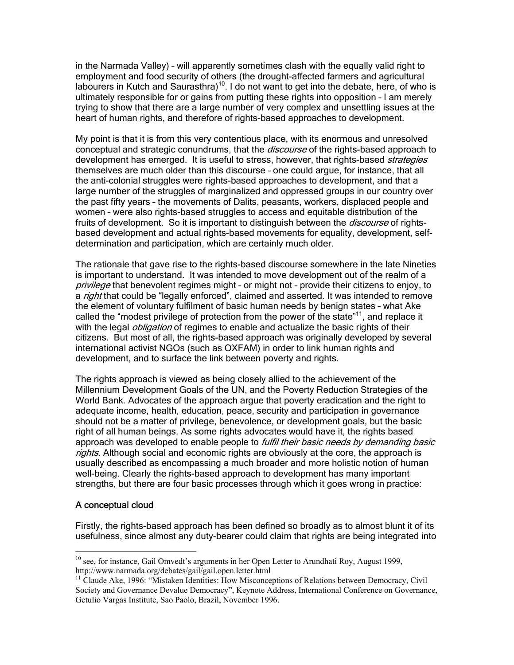in the Narmada Valley) – will apparently sometimes clash with the equally valid right to employment and food security of others (the drought-affected farmers and agricultural labourers in Kutch and Saurasthra)<sup>10</sup>. I do not want to get into the debate, here, of who is ultimately responsible for or gains from putting these rights into opposition – I am merely trying to show that there are a large number of very complex and unsettling issues at the heart of human rights, and therefore of rights-based approaches to development.

My point is that it is from this very contentious place, with its enormous and unresolved conceptual and strategic conundrums, that the *discourse* of the rights-based approach to development has emerged. It is useful to stress, however, that rights-based *strategies* themselves are much older than this discourse – one could argue, for instance, that all the anti-colonial struggles were rights-based approaches to development, and that a large number of the struggles of marginalized and oppressed groups in our country over the past fifty years – the movements of Dalits, peasants, workers, displaced people and women – were also rights-based struggles to access and equitable distribution of the fruits of development. So it is important to distinguish between the *discourse* of rightsbased development and actual rights-based movements for equality, development, selfdetermination and participation, which are certainly much older.

The rationale that gave rise to the rights-based discourse somewhere in the late Nineties is important to understand. It was intended to move development out of the realm of a privilege that benevolent regimes might - or might not - provide their citizens to enjoy, to a *right* that could be "legally enforced", claimed and asserted. It was intended to remove the element of voluntary fulfilment of basic human needs by benign states – what Ake called the "modest privilege of protection from the power of the state"<sup>11</sup>, and replace it with the legal *obligation* of regimes to enable and actualize the basic rights of their citizens. But most of all, the rights-based approach was originally developed by several international activist NGOs (such as OXFAM) in order to link human rights and development, and to surface the link between poverty and rights.

The rights approach is viewed as being closely allied to the achievement of the Millennium Development Goals of the UN, and the Poverty Reduction Strategies of the World Bank. Advocates of the approach argue that poverty eradication and the right to adequate income, health, education, peace, security and participation in governance should not be a matter of privilege, benevolence, or development goals, but the basic right of all human beings. As some rights advocates would have it, the rights based approach was developed to enable people to *fulfil their basic needs by demanding basic* rights. Although social and economic rights are obviously at the core, the approach is usually described as encompassing a much broader and more holistic notion of human well-being. Clearly the rights-based approach to development has many important strengths, but there are four basic processes through which it goes wrong in practice:

# A conceptual cloud

 $\overline{a}$ 

Firstly, the rights-based approach has been defined so broadly as to almost blunt it of its usefulness, since almost any duty-bearer could claim that rights are being integrated into

 $10$  see, for instance, Gail Omvedt's arguments in her Open Letter to Arundhati Roy, August 1999, http://www.narmada.org/debates/gail/gail.open.letter.html

 $11$  Claude Ake, 1996: "Mistaken Identities: How Misconceptions of Relations between Democracy, Civil Society and Governance Devalue Democracy", Keynote Address, International Conference on Governance, Getulio Vargas Institute, Sao Paolo, Brazil, November 1996.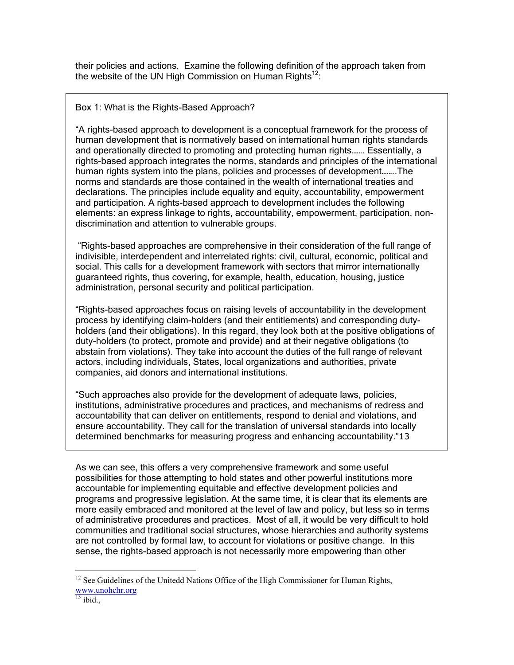their policies and actions. Examine the following definition of the approach taken from the website of the UN High Commission on Human Rights<sup>12</sup>:

### Box 1: What is the Rights-Based Approach?

"A rights-based approach to development is a conceptual framework for the process of human development that is normatively based on international human rights standards and operationally directed to promoting and protecting human rights……. Essentially, a rights-based approach integrates the norms, standards and principles of the international human rights system into the plans, policies and processes of development……..The norms and standards are those contained in the wealth of international treaties and declarations. The principles include equality and equity, accountability, empowerment and participation. A rights-based approach to development includes the following elements: an express linkage to rights, accountability, empowerment, participation, nondiscrimination and attention to vulnerable groups.

 "Rights-based approaches are comprehensive in their consideration of the full range of indivisible, interdependent and interrelated rights: civil, cultural, economic, political and social. This calls for a development framework with sectors that mirror internationally guaranteed rights, thus covering, for example, health, education, housing, justice administration, personal security and political participation.

"Rights-based approaches focus on raising levels of accountability in the development process by identifying claim-holders (and their entitlements) and corresponding dutyholders (and their obligations). In this regard, they look both at the positive obligations of duty-holders (to protect, promote and provide) and at their negative obligations (to abstain from violations). They take into account the duties of the full range of relevant actors, including individuals, States, local organizations and authorities, private companies, aid donors and international institutions.

"Such approaches also provide for the development of adequate laws, policies, institutions, administrative procedures and practices, and mechanisms of redress and accountability that can deliver on entitlements, respond to denial and violations, and ensure accountability. They call for the translation of universal standards into locally determined benchmarks for measuring progress and enhancing accountability."13

As we can see, this offers a very comprehensive framework and some useful possibilities for those attempting to hold states and other powerful institutions more accountable for implementing equitable and effective development policies and programs and progressive legislation. At the same time, it is clear that its elements are more easily embraced and monitored at the level of law and policy, but less so in terms of administrative procedures and practices. Most of all, it would be very difficult to hold communities and traditional social structures, whose hierarchies and authority systems are not controlled by formal law, to account for violations or positive change. In this sense, the rights-based approach is not necessarily more empowering than other

<sup>&</sup>lt;sup>12</sup> See Guidelines of the Unitedd Nations Office of the High Commissioner for Human Rights, www.unohchr.org<br><sup>13</sup> ibid.,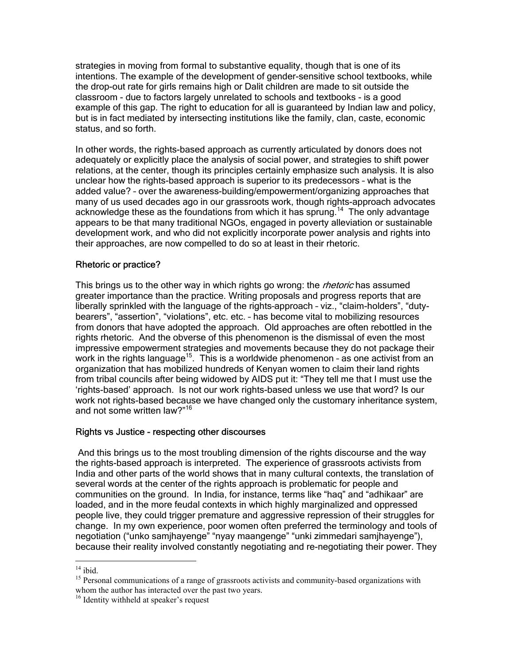strategies in moving from formal to substantive equality, though that is one of its intentions. The example of the development of gender-sensitive school textbooks, while the drop-out rate for girls remains high or Dalit children are made to sit outside the classroom - due to factors largely unrelated to schools and textbooks - is a good example of this gap. The right to education for all is guaranteed by Indian law and policy, but is in fact mediated by intersecting institutions like the family, clan, caste, economic status, and so forth.

In other words, the rights-based approach as currently articulated by donors does not adequately or explicitly place the analysis of social power, and strategies to shift power relations, at the center, though its principles certainly emphasize such analysis. It is also unclear how the rights-based approach is superior to its predecessors – what is the added value? – over the awareness-building/empowerment/organizing approaches that many of us used decades ago in our grassroots work, though rights-approach advocates acknowledge these as the foundations from which it has sprung.<sup>14</sup> The only advantage appears to be that many traditional NGOs, engaged in poverty alleviation or sustainable development work, and who did not explicitly incorporate power analysis and rights into their approaches, are now compelled to do so at least in their rhetoric.

#### Rhetoric or practice?

This brings us to the other way in which rights go wrong: the *rhetoric* has assumed greater importance than the practice. Writing proposals and progress reports that are liberally sprinkled with the language of the rights–approach – viz., "claim-holders", "dutybearers", "assertion", "violations", etc. etc. – has become vital to mobilizing resources from donors that have adopted the approach. Old approaches are often rebottled in the rights rhetoric. And the obverse of this phenomenon is the dismissal of even the most impressive empowerment strategies and movements because they do not package their work in the rights language<sup>15</sup>. This is a worldwide phenomenon - as one activist from an organization that has mobilized hundreds of Kenyan women to claim their land rights from tribal councils after being widowed by AIDS put it: "They tell me that I must use the 'rights-based' approach. Is not our work rights-based unless we use that word? Is our work not rights-based because we have changed only the customary inheritance system, and not some written law?"<sup>16</sup>

#### Rights vs Justice - respecting other discourses

 And this brings us to the most troubling dimension of the rights discourse and the way the rights-based approach is interpreted. The experience of grassroots activists from India and other parts of the world shows that in many cultural contexts, the translation of several words at the center of the rights approach is problematic for people and communities on the ground. In India, for instance, terms like "haq" and "adhikaar" are loaded, and in the more feudal contexts in which highly marginalized and oppressed people live, they could trigger premature and aggressive repression of their struggles for change. In my own experience, poor women often preferred the terminology and tools of negotiation ("unko samjhayenge" "nyay maangenge" "unki zimmedari samjhayenge"), because their reality involved constantly negotiating and re-negotiating their power. They

 $14$  ibid.

<sup>&</sup>lt;sup>15</sup> Personal communications of a range of grassroots activists and community-based organizations with whom the author has interacted over the past two years.

<sup>&</sup>lt;sup>16</sup> Identity withheld at speaker's request